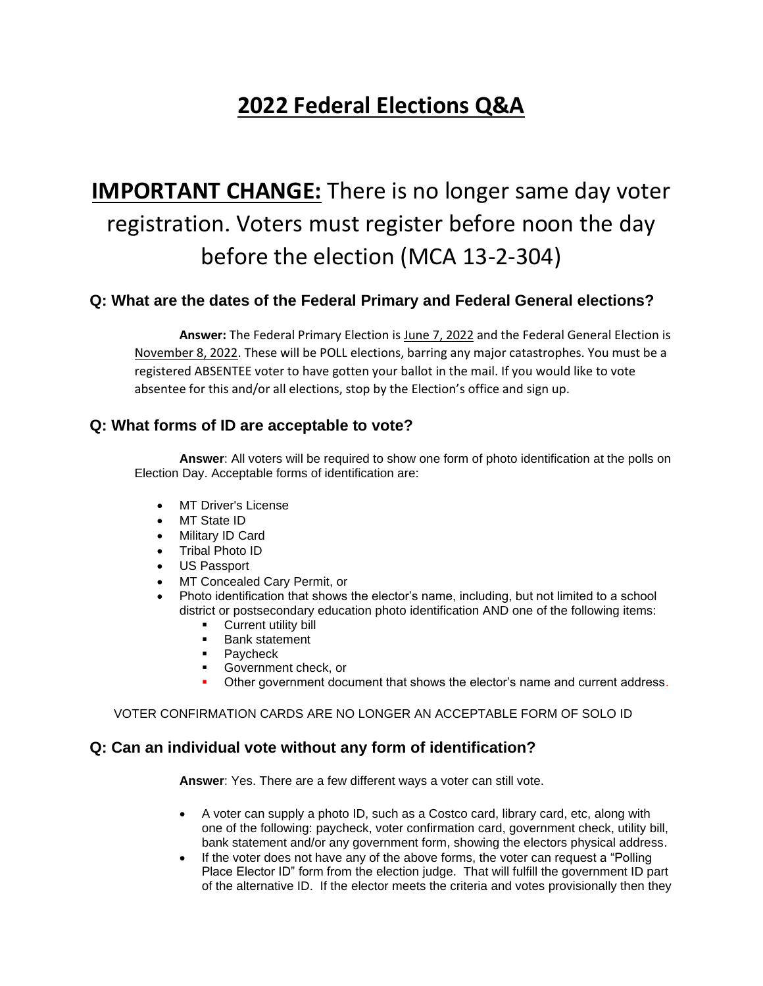## **2022 Federal Elections Q&A**

# **IMPORTANT CHANGE:** There is no longer same day voter registration. Voters must register before noon the day before the election (MCA 13-2-304)

## **Q: What are the dates of the Federal Primary and Federal General elections?**

**Answer:** The Federal Primary Election is June 7, 2022 and the Federal General Election is November 8, 2022. These will be POLL elections, barring any major catastrophes. You must be a registered ABSENTEE voter to have gotten your ballot in the mail. If you would like to vote absentee for this and/or all elections, stop by the Election's office and sign up.

## **Q: What forms of ID are acceptable to vote?**

**Answer**: All voters will be required to show one form of photo identification at the polls on Election Day. Acceptable forms of identification are:

- MT Driver's License
- MT State ID
- Military ID Card
- Tribal Photo ID
- US Passport
- MT Concealed Cary Permit, or
- Photo identification that shows the elector's name, including, but not limited to a school district or postsecondary education photo identification AND one of the following items:
	- **Current utility bill**
	- Bank statement
	- Paycheck
	- Government check, or
	- Other government document that shows the elector's name and current address.

#### VOTER CONFIRMATION CARDS ARE NO LONGER AN ACCEPTABLE FORM OF SOLO ID

#### **Q: Can an individual vote without any form of identification?**

**Answer**: Yes. There are a few different ways a voter can still vote.

- A voter can supply a photo ID, such as a Costco card, library card, etc, along with one of the following: paycheck, voter confirmation card, government check, utility bill, bank statement and/or any government form, showing the electors physical address.
- If the voter does not have any of the above forms, the voter can request a "Polling" Place Elector ID" form from the election judge. That will fulfill the government ID part of the alternative ID. If the elector meets the criteria and votes provisionally then they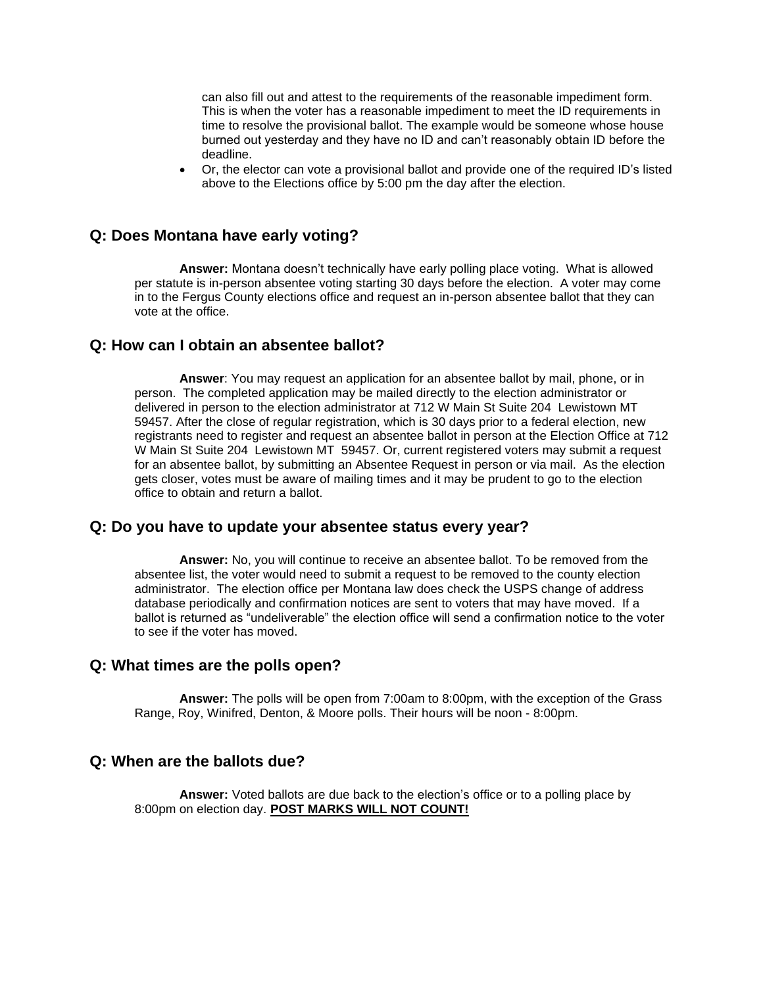can also fill out and attest to the requirements of the reasonable impediment form. This is when the voter has a reasonable impediment to meet the ID requirements in time to resolve the provisional ballot. The example would be someone whose house burned out yesterday and they have no ID and can't reasonably obtain ID before the deadline.

• Or, the elector can vote a provisional ballot and provide one of the required ID's listed above to the Elections office by 5:00 pm the day after the election.

#### **Q: Does Montana have early voting?**

**Answer:** Montana doesn't technically have early polling place voting. What is allowed per statute is in-person absentee voting starting 30 days before the election. A voter may come in to the Fergus County elections office and request an in-person absentee ballot that they can vote at the office.

#### **Q: How can I obtain an absentee ballot?**

**Answer**: You may request an application for an absentee ballot by mail, phone, or in person. The completed application may be mailed directly to the election administrator or delivered in person to the election administrator at 712 W Main St Suite 204 Lewistown MT 59457. After the close of regular registration, which is 30 days prior to a federal election, new registrants need to register and request an absentee ballot in person at the Election Office at 712 W Main St Suite 204 Lewistown MT 59457. Or, current registered voters may submit a request for an absentee ballot, by submitting an Absentee Request in person or via mail. As the election gets closer, votes must be aware of mailing times and it may be prudent to go to the election office to obtain and return a ballot.

#### **Q: Do you have to update your absentee status every year?**

**Answer:** No, you will continue to receive an absentee ballot. To be removed from the absentee list, the voter would need to submit a request to be removed to the county election administrator. The election office per Montana law does check the USPS change of address database periodically and confirmation notices are sent to voters that may have moved. If a ballot is returned as "undeliverable" the election office will send a confirmation notice to the voter to see if the voter has moved.

#### **Q: What times are the polls open?**

**Answer:** The polls will be open from 7:00am to 8:00pm, with the exception of the Grass Range, Roy, Winifred, Denton, & Moore polls. Their hours will be noon - 8:00pm.

#### **Q: When are the ballots due?**

**Answer:** Voted ballots are due back to the election's office or to a polling place by 8:00pm on election day. **POST MARKS WILL NOT COUNT!**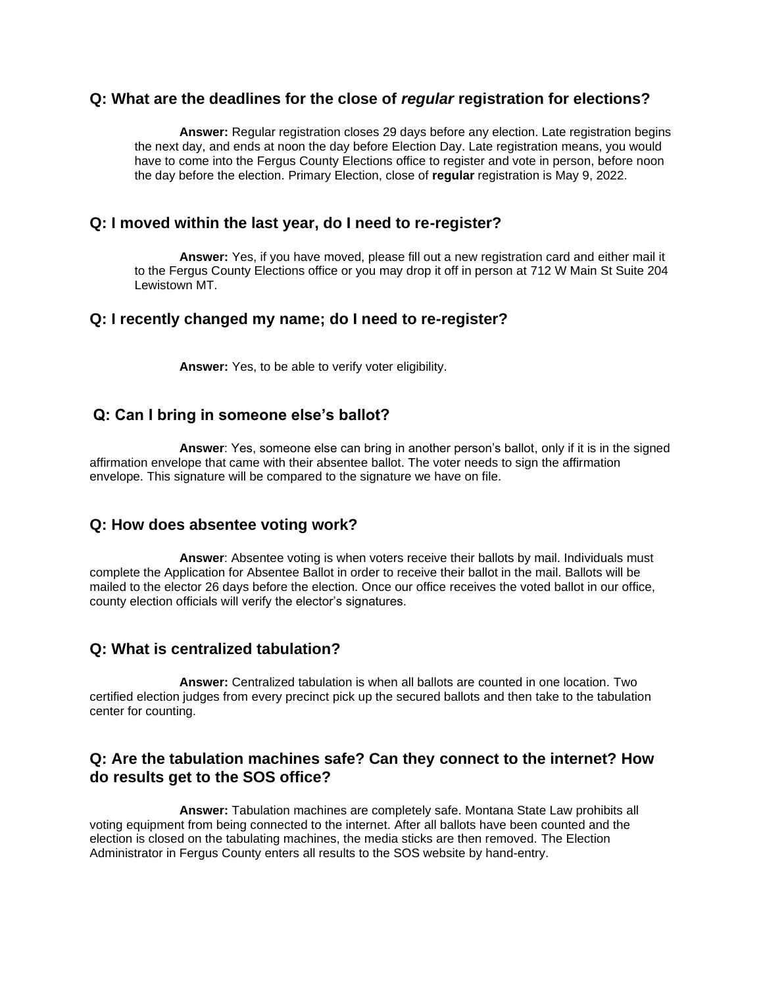#### **Q: What are the deadlines for the close of** *regular* **registration for elections?**

**Answer:** Regular registration closes 29 days before any election. Late registration begins the next day, and ends at noon the day before Election Day. Late registration means, you would have to come into the Fergus County Elections office to register and vote in person, before noon the day before the election. Primary Election, close of **regular** registration is May 9, 2022.

## **Q: I moved within the last year, do I need to re-register?**

**Answer:** Yes, if you have moved, please fill out a new registration card and either mail it to the Fergus County Elections office or you may drop it off in person at 712 W Main St Suite 204 Lewistown MT.

## **Q: I recently changed my name; do I need to re-register?**

**Answer:** Yes, to be able to verify voter eligibility.

## **Q: Can I bring in someone else's ballot?**

**Answer**: Yes, someone else can bring in another person's ballot, only if it is in the signed affirmation envelope that came with their absentee ballot. The voter needs to sign the affirmation envelope. This signature will be compared to the signature we have on file.

#### **Q: How does absentee voting work?**

**Answer**: Absentee voting is when voters receive their ballots by mail. Individuals must complete the Application for Absentee Ballot in order to receive their ballot in the mail. Ballots will be mailed to the elector 26 days before the election. Once our office receives the voted ballot in our office, county election officials will verify the elector's signatures.

## **Q: What is centralized tabulation?**

**Answer:** Centralized tabulation is when all ballots are counted in one location. Two certified election judges from every precinct pick up the secured ballots and then take to the tabulation center for counting.

## **Q: Are the tabulation machines safe? Can they connect to the internet? How do results get to the SOS office?**

**Answer:** Tabulation machines are completely safe. Montana State Law prohibits all voting equipment from being connected to the internet. After all ballots have been counted and the election is closed on the tabulating machines, the media sticks are then removed. The Election Administrator in Fergus County enters all results to the SOS website by hand-entry.